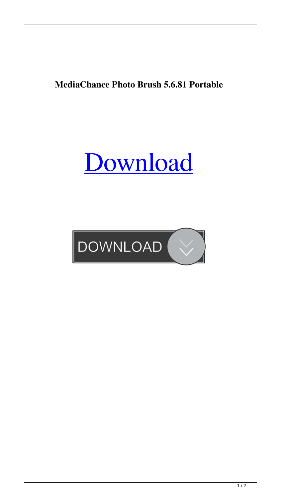**MediaChance Photo Brush 5.6.81 Portable**